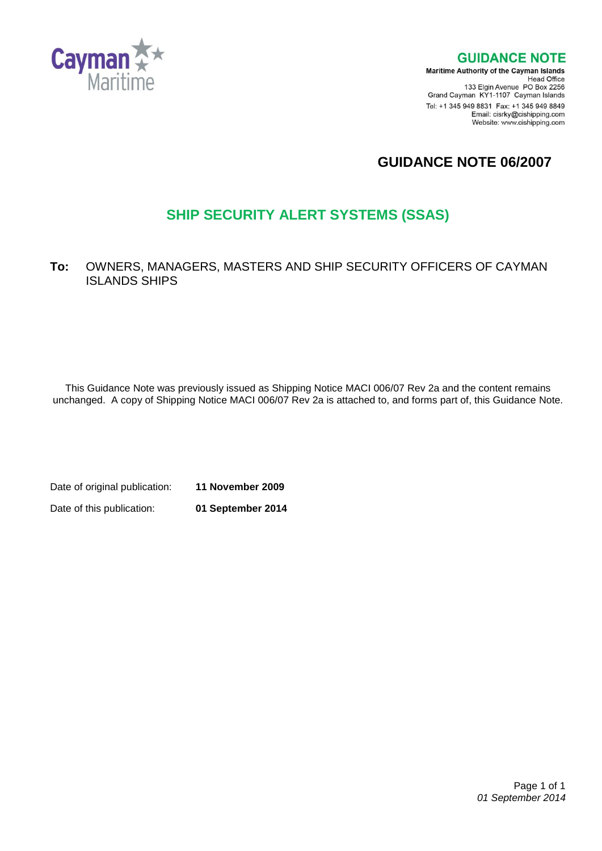

**GUIDANCE NOTE** 

**Maritime Authority of the Cayman Islands** Head Office<br>Head Office<br>133 Elgin Avenue PO Box 2256 Grand Cayman KY1-1107 Cayman Islands Tel: +1 345 949 8831 Fax: +1 345 949 8849 Email: cisrky@cishipping.com Website: www.cishipping.com

# **GUIDANCE NOTE 06/2007**

# **SHIP SECURITY ALERT SYSTEMS (SSAS)**

## **To:** OWNERS, MANAGERS, MASTERS AND SHIP SECURITY OFFICERS OF CAYMAN ISLANDS SHIPS

This Guidance Note was previously issued as Shipping Notice MACI 006/07 Rev 2a and the content remains unchanged. A copy of Shipping Notice MACI 006/07 Rev 2a is attached to, and forms part of, this Guidance Note.

Date of original publication: **11 November 2009** Date of this publication: **01 September 2014**

> Page 1 of 1 *01 September 2014*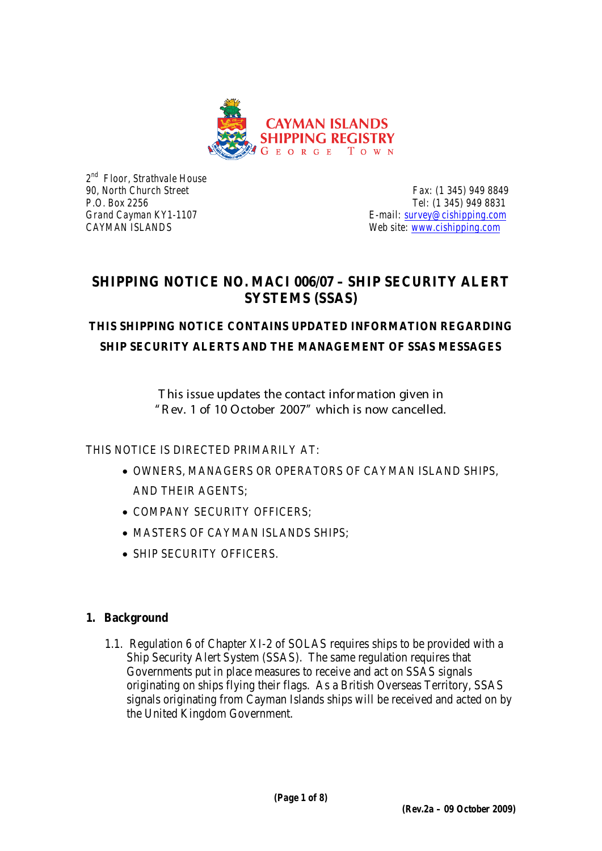

*2nd Floor, Strathvale House*

*90, North Church Street**Fax: (1 345) 949 8849 P.O. Box 2256 Tel: (1 345) 949 8831 Grand Cayman KY1-1107 E-mail: [survey@cishipping.com](mailto:survey@cishipping.com) CAYMAN ISLANDS Web site: [www.cishipping.com](http://www.cishipping.com/)*

# **SHIPPING NOTICE NO. MACI 006/07 – SHIP SECURITY ALERT SYSTEMS (SSAS)**

# **THIS SHIPPING NOTICE CONTAINS UPDATED INFORMATION REGARDING SHIP SECURITY ALERTS AND THE MANAGEMENT OF SSAS MESSAGES**

T his issue updates the contact infor mation given in " R ev. 1 of 10 October 2007" which is now cancelled.

THIS NOTICE IS DIRECTED PRIMARILY AT:

- OWNERS, MANAGERS OR OPERATORS OF CAYMAN ISLAND SHIPS, AND THEIR AGENTS;
- COMPANY SECURITY OFFICERS;
- MASTERS OF CAYMAN ISLANDS SHIPS;
- SHIP SECURITY OFFICERS

## **1. Background**

1.1. Regulation 6 of Chapter XI-2 of SOLAS requires ships to be provided with a Ship Security Alert System (SSAS). The same regulation requires that Governments put in place measures to receive and act on SSAS signals originating on ships flying their flags. As a British Overseas Territory, SSAS signals originating from Cayman Islands ships will be received and acted on by the United Kingdom Government.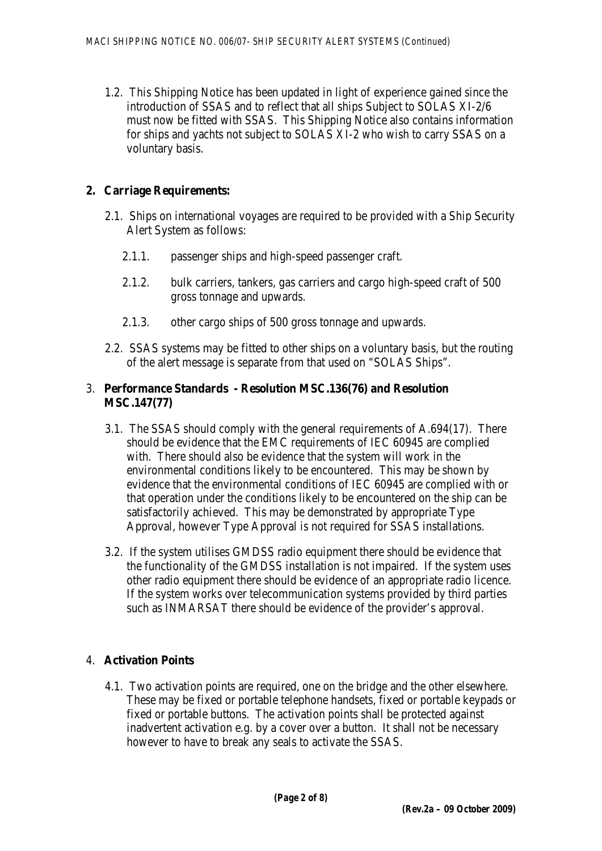1.2. This Shipping Notice has been updated in light of experience gained since the introduction of SSAS and to reflect that all ships Subject to SOLAS XI-2/6 must now be fitted with SSAS. This Shipping Notice also contains information for ships and yachts not subject to SOLAS XI-2 who wish to carry SSAS on a voluntary basis.

## **2. Carriage Requirements:**

- 2.1. Ships on international voyages are required to be provided with a Ship Security Alert System as follows:
	- 2.1.1. passenger ships and high-speed passenger craft.
	- 2.1.2. bulk carriers, tankers, gas carriers and cargo high-speed craft of 500 gross tonnage and upwards.
	- 2.1.3. other cargo ships of 500 gross tonnage and upwards.
- 2.2. SSAS systems may be fitted to other ships on a voluntary basis, but the routing of the alert message is separate from that used on "SOLAS Ships".

#### 3. **Performance Standards - Resolution MSC.136(76) and Resolution MSC.147(77)**

- 3.1. The SSAS should comply with the general requirements of A.694(17). There should be evidence that the EMC requirements of IEC 60945 are complied with. There should also be evidence that the system will work in the environmental conditions likely to be encountered. This may be shown by evidence that the environmental conditions of IEC 60945 are complied with or that operation under the conditions likely to be encountered on the ship can be satisfactorily achieved. This may be demonstrated by appropriate Type Approval, however Type Approval is not required for SSAS installations.
- 3.2. If the system utilises GMDSS radio equipment there should be evidence that the functionality of the GMDSS installation is not impaired. If the system uses other radio equipment there should be evidence of an appropriate radio licence. If the system works over telecommunication systems provided by third parties such as INMARSAT there should be evidence of the provider's approval.

## 4. **Activation Points**

4.1. Two activation points are required, one on the bridge and the other elsewhere. These may be fixed or portable telephone handsets, fixed or portable keypads or fixed or portable buttons. The activation points shall be protected against inadvertent activation e.g. by a cover over a button. It shall not be necessary however to have to break any seals to activate the SSAS.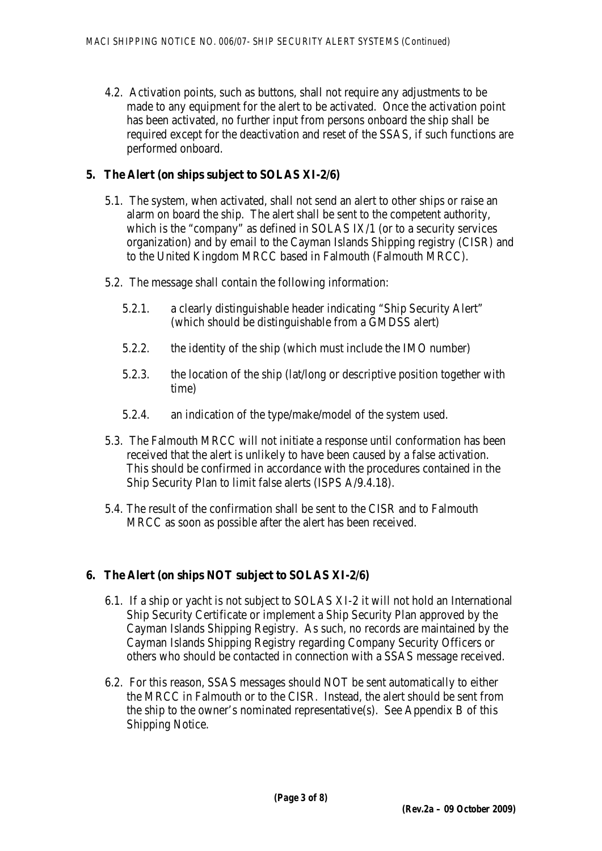4.2. Activation points, such as buttons, shall not require any adjustments to be made to any equipment for the alert to be activated. Once the activation point has been activated, no further input from persons onboard the ship shall be required except for the deactivation and reset of the SSAS, if such functions are performed onboard.

#### **5. The Alert (on ships subject to SOLAS XI-2/6)**

- 5.1. The system, when activated, shall not send an alert to other ships or raise an alarm on board the ship. The alert shall be sent to the competent authority, which is the "company" as defined in SOLAS IX/1 (or to a security services organization) and by email to the Cayman Islands Shipping registry (CISR) and to the United Kingdom MRCC based in Falmouth (Falmouth MRCC).
- 5.2. The message shall contain the following information:
	- 5.2.1. a clearly distinguishable header indicating "Ship Security Alert" (which should be distinguishable from a GMDSS alert)
	- 5.2.2. the identity of the ship (which must include the IMO number)
	- 5.2.3. the location of the ship (lat/long or descriptive position together with time)
	- 5.2.4. an indication of the type/make/model of the system used.
- 5.3. The Falmouth MRCC will not initiate a response until conformation has been received that the alert is unlikely to have been caused by a false activation. This should be confirmed in accordance with the procedures contained in the Ship Security Plan to limit false alerts (ISPS A/9.4.18).
- 5.4. The result of the confirmation shall be sent to the CISR and to Falmouth MRCC as soon as possible after the alert has been received.

## **6. The Alert (on ships NOT subject to SOLAS XI-2/6)**

- 6.1. If a ship or yacht is not subject to SOLAS XI-2 it will not hold an International Ship Security Certificate or implement a Ship Security Plan approved by the Cayman Islands Shipping Registry. As such, no records are maintained by the Cayman Islands Shipping Registry regarding Company Security Officers or others who should be contacted in connection with a SSAS message received.
- 6.2. For this reason, SSAS messages should NOT be sent automatically to either the MRCC in Falmouth or to the CISR. Instead, the alert should be sent from the ship to the owner's nominated representative(s). See Appendix B of this Shipping Notice.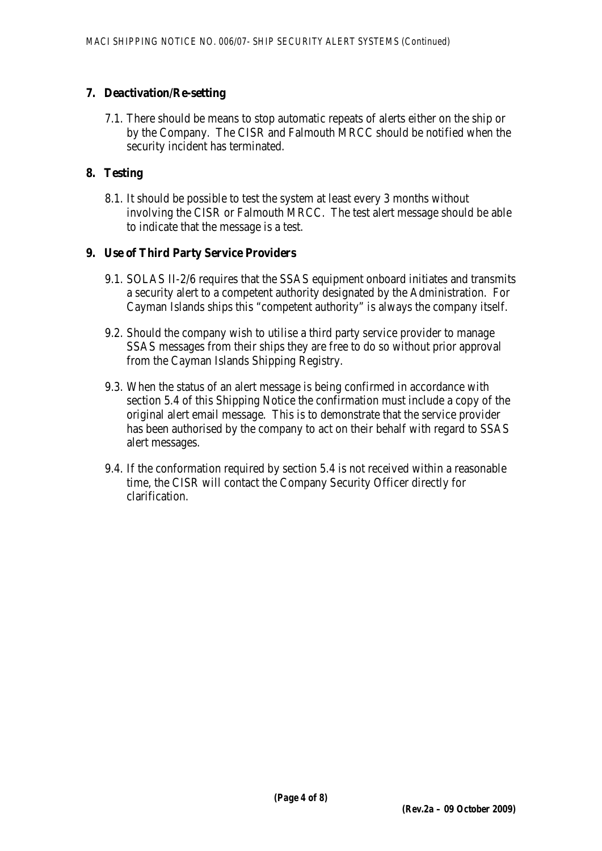#### **7. Deactivation/Re-setting**

7.1. There should be means to stop automatic repeats of alerts either on the ship or by the Company. The CISR and Falmouth MRCC should be notified when the security incident has terminated.

#### **8. Testing**

8.1. It should be possible to test the system at least every 3 months without involving the CISR or Falmouth MRCC. The test alert message should be able to indicate that the message is a test.

#### **9. Use of Third Party Service Providers**

- 9.1. SOLAS II-2/6 requires that the SSAS equipment onboard initiates and transmits a security alert to a competent authority designated by the Administration. For Cayman Islands ships this "competent authority" is always the company itself.
- 9.2. Should the company wish to utilise a third party service provider to manage SSAS messages from their ships they are free to do so without prior approval from the Cayman Islands Shipping Registry.
- 9.3. When the status of an alert message is being confirmed in accordance with section 5.4 of this Shipping Notice the confirmation must include a copy of the original alert email message. This is to demonstrate that the service provider has been authorised by the company to act on their behalf with regard to SSAS alert messages.
- 9.4. If the conformation required by section 5.4 is not received within a reasonable time, the CISR will contact the Company Security Officer directly for clarification.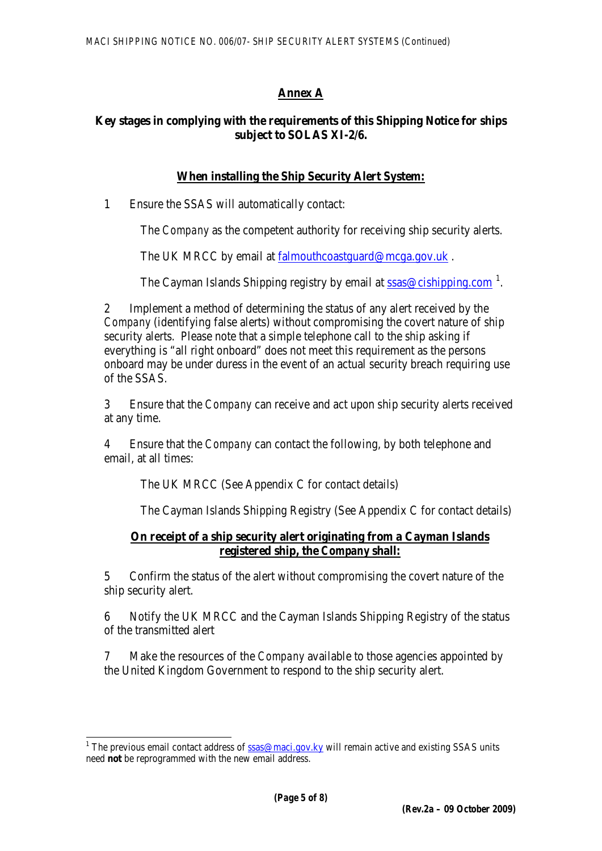## **Annex A**

#### **Key stages in complying with the requirements of this Shipping Notice for ships subject to SOLAS XI-2/6.**

#### **When installing the Ship Security Alert System:**

1 Ensure the SSAS will automatically contact:

The *Company* as the competent authority for receiving ship security alerts.

The UK MRCC by email at [falmouthcoastguard@mcga.gov.uk](mailto:falmouthcoastguard@mcga.gov.uk).

The Cayman Islands Shipping registry by email at [ssas@cishipping.com](mailto:ssas@cishipping.com)<sup>[1](#page-5-0)</sup>.

2 Implement a method of determining the status of any alert received by the *Company* (identifying false alerts) without compromising the covert nature of ship security alerts. Please note that a simple telephone call to the ship asking if everything is "all right onboard" does not meet this requirement as the persons onboard may be under duress in the event of an actual security breach requiring use of the SSAS.

3 Ensure that the *Company* can receive and act upon ship security alerts received at any time.

4 Ensure that the *Company* can contact the following, by both telephone and email, at all times:

The UK MRCC (See Appendix C for contact details)

The Cayman Islands Shipping Registry (See Appendix C for contact details)

#### **On receipt of a ship security alert originating from a Cayman Islands registered ship, the** *Company* **shall:**

5 Confirm the status of the alert without compromising the covert nature of the ship security alert.

6 Notify the UK MRCC and the Cayman Islands Shipping Registry of the status of the transmitted alert

7 Make the resources of the *Company* available to those agencies appointed by the United Kingdom Government to respond to the ship security alert.

<span id="page-5-0"></span><sup>&</sup>lt;sup>1</sup> The previous email contact address of  $\frac{ssas@maci.gov.ky}{s}$  $\frac{ssas@maci.gov.ky}{s}$  $\frac{ssas@maci.gov.ky}{s}$  will remain active and existing SSAS units need **not** be reprogrammed with the new email address.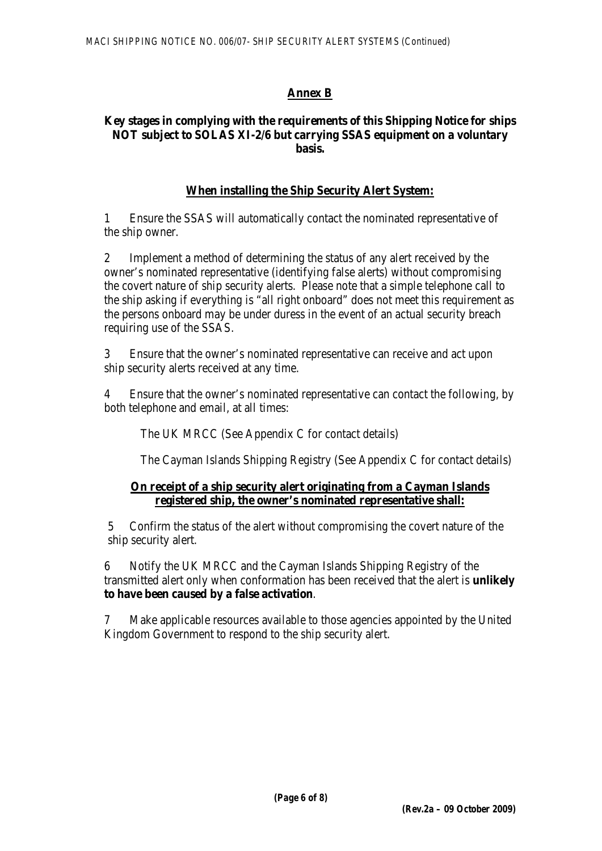## **Annex B**

#### **Key stages in complying with the requirements of this Shipping Notice for ships NOT subject to SOLAS XI-2/6 but carrying SSAS equipment on a voluntary basis.**

## **When installing the Ship Security Alert System:**

1 Ensure the SSAS will automatically contact the nominated representative of the ship owner.

2 Implement a method of determining the status of any alert received by the owner's nominated representative (identifying false alerts) without compromising the covert nature of ship security alerts. Please note that a simple telephone call to the ship asking if everything is "all right onboard" does not meet this requirement as the persons onboard may be under duress in the event of an actual security breach requiring use of the SSAS.

3 Ensure that the owner's nominated representative can receive and act upon ship security alerts received at any time.

4 Ensure that the owner's nominated representative can contact the following, by both telephone and email, at all times:

The UK MRCC (See Appendix C for contact details)

The Cayman Islands Shipping Registry (See Appendix C for contact details)

#### **On receipt of a ship security alert originating from a Cayman Islands registered ship, the owner's nominated representative shall:**

5 Confirm the status of the alert without compromising the covert nature of the ship security alert.

6 Notify the UK MRCC and the Cayman Islands Shipping Registry of the transmitted alert only when conformation has been received that the alert is **unlikely to have been caused by a false activation**.

7 Make applicable resources available to those agencies appointed by the United Kingdom Government to respond to the ship security alert.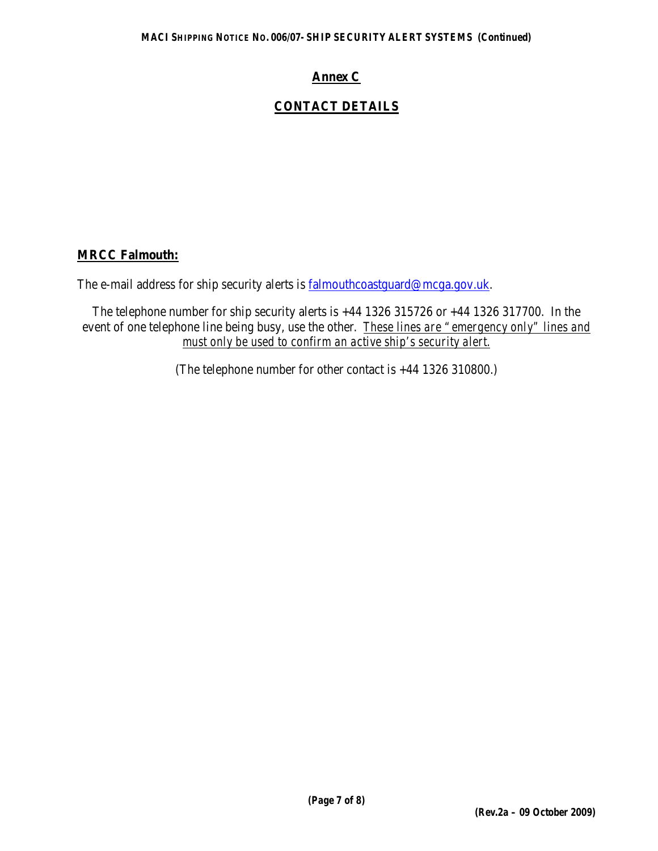## **Annex C**

## **CONTACT DETAILS**

#### **MRCC Falmouth:**

The e-mail address for ship security alerts is [falmouthcoastguard@mcga.gov.uk.](mailto:falmouthcoastguard@mcga.gov.uk)

The telephone number for ship security alerts is +44 1326 315726 or +44 1326 317700. In the event of one telephone line being busy, use the other. *These lines are "emergency only" lines and must only be used to confirm an active ship's security alert.*

(The telephone number for other contact is +44 1326 310800.)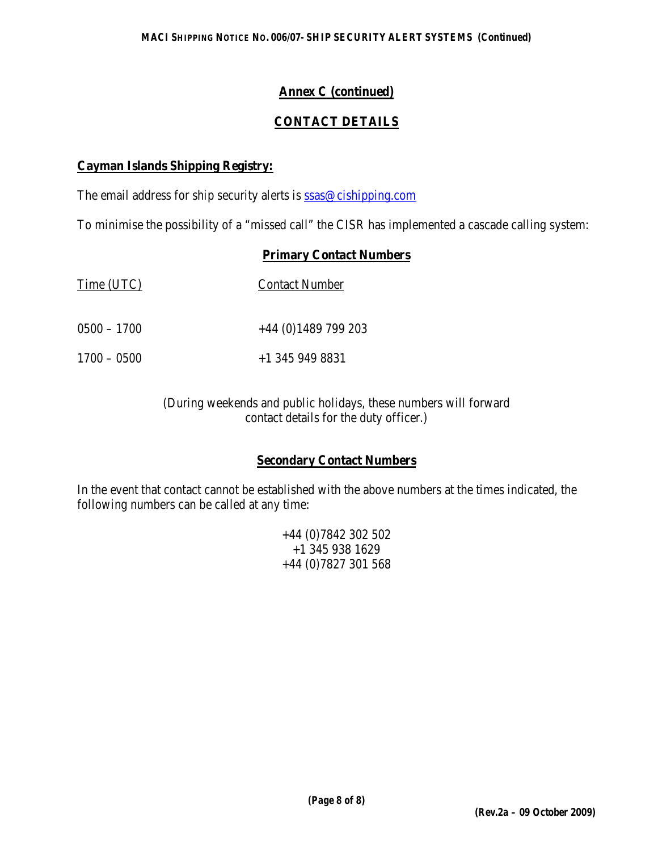## **Annex C (continued)**

## **CONTACT DETAILS**

#### **Cayman Islands Shipping Registry:**

The email address for ship security alerts is [ssas@cishipping.com](mailto:ssas@cishipping.com)

To minimise the possibility of a "missed call" the CISR has implemented a cascade calling system:

#### **Primary Contact Numbers**

| Time (UTC)    | <b>Contact Number</b> |
|---------------|-----------------------|
| $0500 - 1700$ | $+44$ (0)1489 799 203 |
| $1700 - 0500$ | $+1$ 345 949 8831     |

(During weekends and public holidays, these numbers will forward contact details for the duty officer.)

## **Secondary Contact Numbers**

In the event that contact cannot be established with the above numbers at the times indicated, the following numbers can be called at any time:

> +44 (0)7842 302 502 +1 345 938 1629 +44 (0)7827 301 568